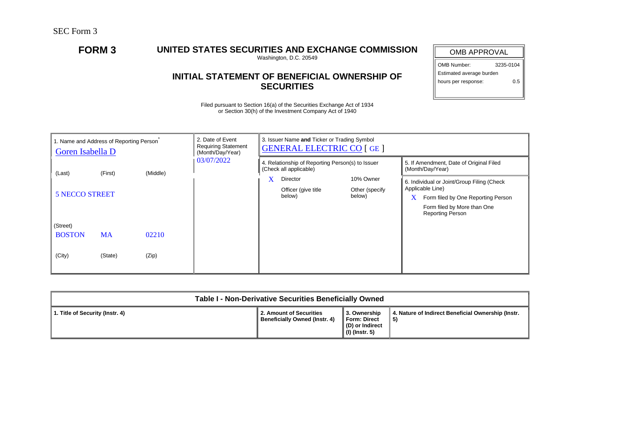## **FORM 3 UNITED STATES SECURITIES AND EXCHANGE COMMISSION**

Washington, D.C. 20549

## **INITIAL STATEMENT OF BENEFICIAL OWNERSHIP OF SECURITIES**

Filed pursuant to Section 16(a) of the Securities Exchange Act of 1934 or Section 30(h) of the Investment Company Act of 1940

| <b>OMB APPROVAL</b>        |           |  |  |  |  |  |  |
|----------------------------|-----------|--|--|--|--|--|--|
| OMB Number:                | 3235-0104 |  |  |  |  |  |  |
| Estimated average burden   |           |  |  |  |  |  |  |
| hours per response:<br>ი 5 |           |  |  |  |  |  |  |
|                            |           |  |  |  |  |  |  |

| 1. Name and Address of Reporting Person <sup>®</sup><br>Goren Isabella D |           | 2. Date of Event<br><b>Requiring Statement</b><br>(Month/Day/Year) | 3. Issuer Name and Ticker or Trading Symbol<br><b>GENERAL ELECTRIC CO [GE]</b> |                               |                          |                                                        |                                                             |                                            |  |
|--------------------------------------------------------------------------|-----------|--------------------------------------------------------------------|--------------------------------------------------------------------------------|-------------------------------|--------------------------|--------------------------------------------------------|-------------------------------------------------------------|--------------------------------------------|--|
| (First)<br>(Middle)<br>(Last)                                            |           | 03/07/2022                                                         | 4. Relationship of Reporting Person(s) to Issuer<br>(Check all applicable)     |                               |                          |                                                        | 5. If Amendment, Date of Original Filed<br>(Month/Day/Year) |                                            |  |
|                                                                          |           |                                                                    |                                                                                | X                             | 10% Owner<br>Director    |                                                        |                                                             | 6. Individual or Joint/Group Filing (Check |  |
| <b>5 NECCO STREET</b>                                                    |           |                                                                    |                                                                                | Officer (give title<br>below) | Other (specify<br>below) |                                                        | Applicable Line)<br>Form filed by One Reporting Person      |                                            |  |
|                                                                          |           |                                                                    |                                                                                |                               |                          | Form filed by More than One<br><b>Reporting Person</b> |                                                             |                                            |  |
| (Street)                                                                 |           |                                                                    |                                                                                |                               |                          |                                                        |                                                             |                                            |  |
| <b>BOSTON</b>                                                            | <b>MA</b> | 02210                                                              |                                                                                |                               |                          |                                                        |                                                             |                                            |  |
| (City)                                                                   | (State)   | (Zip)                                                              |                                                                                |                               |                          |                                                        |                                                             |                                            |  |

| Table I - Non-Derivative Securities Beneficially Owned |                                                          |                                                                     |                                                           |  |  |  |  |  |
|--------------------------------------------------------|----------------------------------------------------------|---------------------------------------------------------------------|-----------------------------------------------------------|--|--|--|--|--|
| 1. Title of Security (Instr. 4)                        | 2. Amount of Securities<br>Beneficially Owned (Instr. 4) | 3. Ownership<br>Form: Direct<br>(D) or Indirect<br>  (I) (Instr. 5) | 4. Nature of Indirect Beneficial Ownership (Instr.<br>-5) |  |  |  |  |  |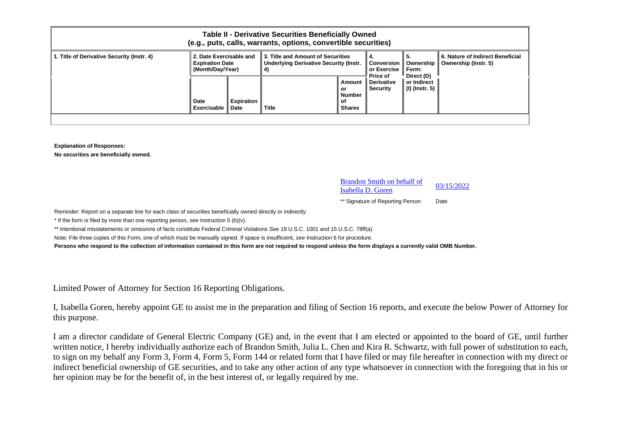| <b>Table II - Derivative Securities Beneficially Owned</b><br>(e.g., puts, calls, warrants, options, convertible securities) |                                                                       |                                  |                                                                                                                                                                                             |                                                      |                                                          |                               |  |  |
|------------------------------------------------------------------------------------------------------------------------------|-----------------------------------------------------------------------|----------------------------------|---------------------------------------------------------------------------------------------------------------------------------------------------------------------------------------------|------------------------------------------------------|----------------------------------------------------------|-------------------------------|--|--|
| 1. Title of Derivative Security (Instr. 4)                                                                                   | 2. Date Exercisable and<br><b>Expiration Date</b><br>(Month/Day/Year) |                                  | <b>13. Title and Amount of Securities</b><br>4.<br>l 5.<br><b>Underlying Derivative Security (Instr.</b><br>Ownership<br>Conversion<br>or Exercise<br>Form:<br>4)<br>Direct (D)<br>Price of |                                                      | 6. Nature of Indirect Beneficial<br>Ownership (Instr. 5) |                               |  |  |
|                                                                                                                              | Date<br>Exercisable                                                   | <b>Expiration</b><br><b>Date</b> | <b>Title</b>                                                                                                                                                                                | Amount<br>or<br><b>Number</b><br>оf<br><b>Shares</b> | <b>Derivative</b><br><b>Security</b>                     | or Indirect<br>(I) (Instr. 5) |  |  |

**Explanation of Responses:**

**No securities are beneficially owned.**

Brandon Smith on behalf of  $\frac{1}{2}$  Isabella D. Goren  $\frac{03/15/2022}{2}$ 

\*\* Signature of Reporting Person Date

Reminder: Report on a separate line for each class of securities beneficially owned directly or indirectly.

\* If the form is filed by more than one reporting person, *see* Instruction 5 (b)(v).

\*\* Intentional misstatements or omissions of facts constitute Federal Criminal Violations *See* 18 U.S.C. 1001 and 15 U.S.C. 78ff(a).

Note: File three copies of this Form, one of which must be manually signed. If space is insufficient, *see* Instruction 6 for procedure.

**Persons who respond to the collection of information contained in this form are not required to respond unless the form displays a currently valid OMB Number.**

Limited Power of Attorney for Section 16 Reporting Obligations.

I, Isabella Goren, hereby appoint GE to assist me in the preparation and filing of Section 16 reports, and execute the below Power of Attorney for this purpose.

I am a director candidate of General Electric Company (GE) and, in the event that I am elected or appointed to the board of GE, until further written notice, I hereby individually authorize each of Brandon Smith, Julia L. Chen and Kira R. Schwartz, with full power of substitution to each, to sign on my behalf any Form 3, Form 4, Form 5, Form 144 or related form that I have filed or may file hereafter in connection with my direct or indirect beneficial ownership of GE securities, and to take any other action of any type whatsoever in connection with the foregoing that in his or her opinion may be for the benefit of, in the best interest of, or legally required by me.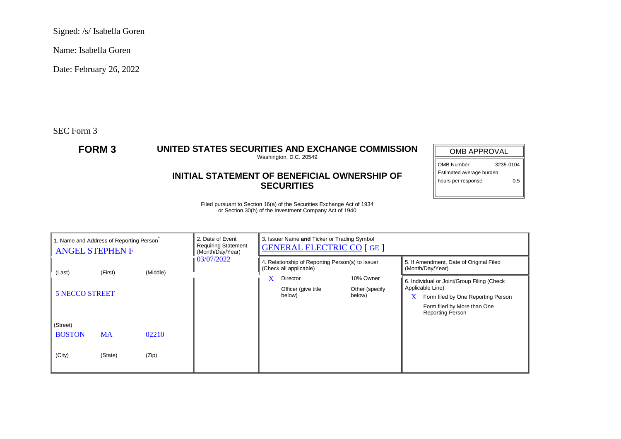Signed: /s/ Isabella Goren

Name: Isabella Goren

Date: February 26, 2022

SEC Form 3

## **FORM 3 UNITED STATES SECURITIES AND EXCHANGE COMMISSION**

Washington, D.C. 20549

## **INITIAL STATEMENT OF BENEFICIAL OWNERSHIP OF SECURITIES**

OMB APPROVAL OMB Number: 3235-0104 Estimated average burden

hours per response: 0.5

Filed pursuant to Section 16(a) of the Securities Exchange Act of 1934 or Section 30(h) of the Investment Company Act of 1940

| 1. Name and Address of Reporting Person<br><b>ANGEL STEPHEN F</b> |                       | 2. Date of Event<br><b>Requiring Statement</b><br>(Month/Day/Year) | 3. Issuer Name and Ticker or Trading Symbol<br><b>GENERAL ELECTRIC CO [GE]</b> |                                                                            |                               |                          |                                                             |                                    |  |
|-------------------------------------------------------------------|-----------------------|--------------------------------------------------------------------|--------------------------------------------------------------------------------|----------------------------------------------------------------------------|-------------------------------|--------------------------|-------------------------------------------------------------|------------------------------------|--|
| (Middle)<br>(Last)<br>(First)                                     |                       |                                                                    | 03/07/2022                                                                     | 4. Relationship of Reporting Person(s) to Issuer<br>(Check all applicable) |                               |                          | 5. If Amendment, Date of Original Filed<br>(Month/Day/Year) |                                    |  |
|                                                                   |                       |                                                                    |                                                                                | X                                                                          | 10% Owner<br>Director         |                          | 6. Individual or Joint/Group Filing (Check                  |                                    |  |
|                                                                   | <b>5 NECCO STREET</b> |                                                                    |                                                                                |                                                                            | Officer (give title<br>below) | Other (specify<br>below) | Applicable Line)                                            |                                    |  |
|                                                                   |                       |                                                                    |                                                                                |                                                                            |                               |                          | X                                                           | Form filed by One Reporting Person |  |
|                                                                   |                       |                                                                    |                                                                                |                                                                            |                               |                          | Form filed by More than One<br><b>Reporting Person</b>      |                                    |  |
| (Street)                                                          |                       |                                                                    |                                                                                |                                                                            |                               |                          |                                                             |                                    |  |
| <b>BOSTON</b>                                                     | <b>MA</b>             | 02210                                                              |                                                                                |                                                                            |                               |                          |                                                             |                                    |  |
|                                                                   |                       |                                                                    |                                                                                |                                                                            |                               |                          |                                                             |                                    |  |
| (City)                                                            | (State)               | (Zip)                                                              |                                                                                |                                                                            |                               |                          |                                                             |                                    |  |
|                                                                   |                       |                                                                    |                                                                                |                                                                            |                               |                          |                                                             |                                    |  |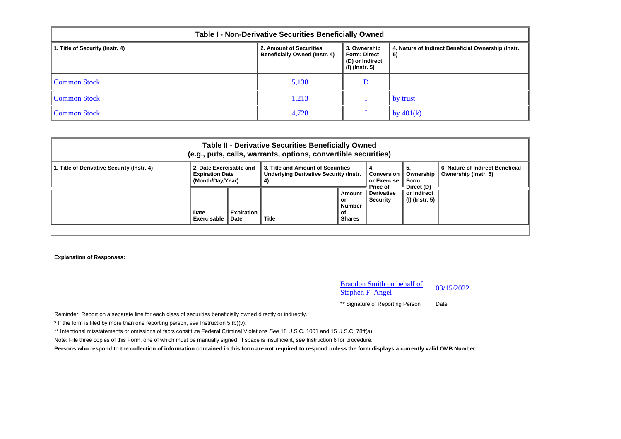| Table I - Non-Derivative Securities Beneficially Owned |                                                                 |                                                                          |                                                          |  |  |  |  |  |
|--------------------------------------------------------|-----------------------------------------------------------------|--------------------------------------------------------------------------|----------------------------------------------------------|--|--|--|--|--|
| 1. Title of Security (Instr. 4)                        | 2. Amount of Securities<br><b>Beneficially Owned (Instr. 4)</b> | 3. Ownership<br><b>Form: Direct</b><br>(D) or Indirect<br>(I) (Instr. 5) | 4. Nature of Indirect Beneficial Ownership (Instr.<br>5) |  |  |  |  |  |
| Common Stock                                           | 5,138                                                           | D                                                                        |                                                          |  |  |  |  |  |
| Common Stock                                           | 1,213                                                           |                                                                          | by trust                                                 |  |  |  |  |  |
| Common Stock                                           | 4,728                                                           |                                                                          | by $401(k)$                                              |  |  |  |  |  |

| <b>Table II - Derivative Securities Beneficially Owned</b><br>(e.g., puts, calls, warrants, options, convertible securities) |                                                                       |                                  |                                                                                                                                      |                                                      |                                           |                                                          |  |  |  |
|------------------------------------------------------------------------------------------------------------------------------|-----------------------------------------------------------------------|----------------------------------|--------------------------------------------------------------------------------------------------------------------------------------|------------------------------------------------------|-------------------------------------------|----------------------------------------------------------|--|--|--|
| 1. Title of Derivative Security (Instr. 4)                                                                                   | 2. Date Exercisable and<br><b>Expiration Date</b><br>(Month/Dav/Year) |                                  | 3. Title and Amount of Securities<br>4.<br><b>Underlying Derivative Security (Instr.</b><br>Conversion<br>or Exercise<br>Form:<br>4) |                                                      | Ownership                                 | 6. Nature of Indirect Beneficial<br>Ownership (Instr. 5) |  |  |  |
|                                                                                                                              | Date<br>Exercisable                                                   | <b>Expiration</b><br><b>Date</b> | Title                                                                                                                                | Amount<br>or<br><b>Number</b><br>оf<br><b>Shares</b> | Price of<br><b>Derivative</b><br>Security | Direct (D)<br>or Indirect<br>(I) (Instr. 5)              |  |  |  |
|                                                                                                                              |                                                                       |                                  |                                                                                                                                      |                                                      |                                           |                                                          |  |  |  |

**Explanation of Responses:**

Brandon Smith on behalf of Stephen F. Angel 03/15/2022 \*\* Signature of Reporting Person Date

Reminder: Report on a separate line for each class of securities beneficially owned directly or indirectly.

\* If the form is filed by more than one reporting person, *see* Instruction 5 (b)(v).

\*\* Intentional misstatements or omissions of facts constitute Federal Criminal Violations *See* 18 U.S.C. 1001 and 15 U.S.C. 78ff(a).

Note: File three copies of this Form, one of which must be manually signed. If space is insufficient, *see* Instruction 6 for procedure.

**Persons who respond to the collection of information contained in this form are not required to respond unless the form displays a currently valid OMB Number.**